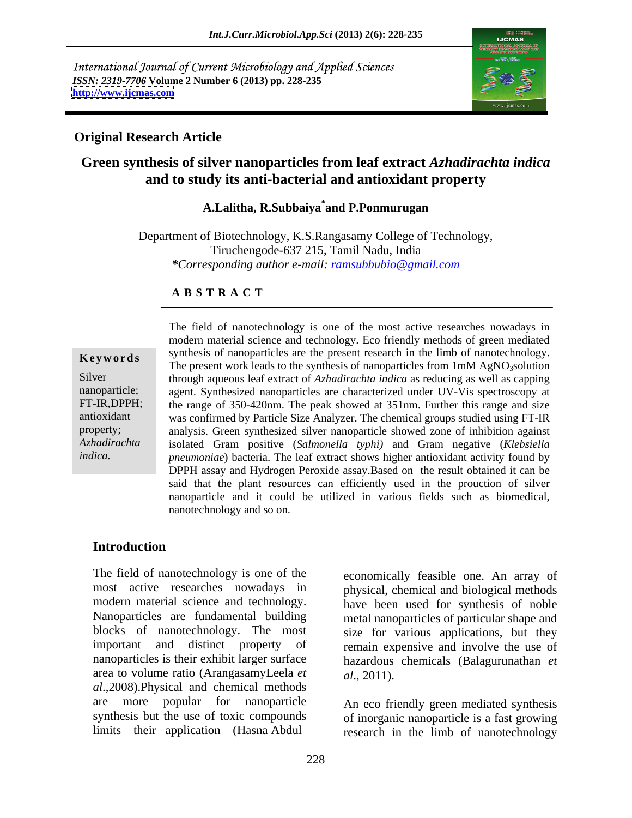International Journal of Current Microbiology and Applied Sciences *ISSN: 2319-7706* **Volume 2 Number 6 (2013) pp. 228-235 <http://www.ijcmas.com>**



### **Original Research Article**

# **Green synthesis of silver nanoparticles from leaf extract** *Azhadirachta indica* **and to study its anti-bacterial and antioxidant property**

### **A.Lalitha, R.Subbaiya\* and P.Ponmurugan**

Department of Biotechnology, K.S.Rangasamy College of Technology, Tiruchengode-637 215, Tamil Nadu, India *\*Corresponding author e-mail: ramsubbubio@gmail.com*

### **A B S T R A C T**

Salam *et al*., 2012) and also not *Azhadirachta*  isolated Gram positive (*Salmonella typhi)* and Gram negative (*Klebsiella*  **Keywords** Synthesis of nanoparticles are the present research in the finito of nanotechnology.<br>The present work leads to the synthesis of nanoparticles from 1mM AgNO<sub>3</sub>solution Silver through aqueous leaf extract of *Azhadirachta indica* as reducing as well as capping nanoparticle; agent. Synthesized nanoparticles are characterized under UV-Vis spectroscopy at FT-IR,DPPH; the range of 350-420nm. The peak showed at 351nm. Further this range and size antioxidant was confirmed by Particle Size Analyzer. The chemical groups studied using FT-IR property; analysis. Green synthesized silver nanoparticle showed zone of inhibition against *indica. pneumoniae*) bacteria. The leaf extract shows higher antioxidant activity found by The field of nanotechnology is one of the most active researches nowadays in modern material science and technology. Eco friendly methods of green mediated synthesis of nanoparticles are the present research in the limb of nanotechnology. DPPH assay and Hydrogen Peroxide assay.Based on the result obtained it can be said that the plant resources can efficiently used in the prouction of silver nanoparticle and it could be utilized in various fields such as biomedical, nanotechnology and so on.

# **Introduction**

The field of nanotechnology is one of the most active researches nowadays in physical, chemical and biological methods modern material science and technology. have been used for synthesis of noble Nanoparticles are fundamental building metal nanoparticles of particular shape and blocks of nanotechnology. The most important and distinct property of remain expensive and involve the use of nanoparticles is their exhibit larger surface area to volume ratio (ArangasamyLeela *et al*.,2008).Physical and chemical methods are more popular for nanoparticle synthesis but the use of toxic compounds of inorganic nanoparticle is a fast growing

economically feasible one. An array of size for various applications, but they hazardous chemicals (Balagurunathan *et al*., 2011).

limits their application (Hasna Abdul research in the limb of nanotechnology An eco friendly green mediated synthesis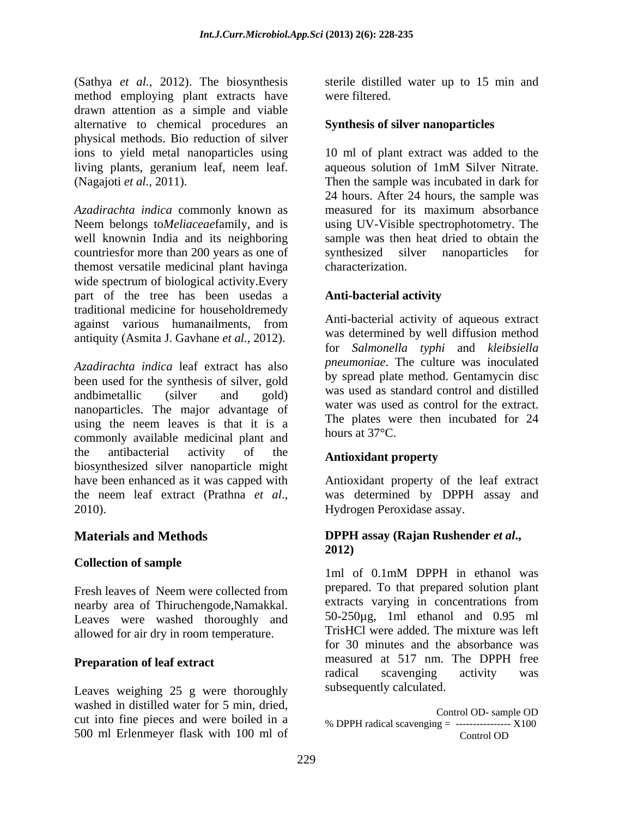(Sathya *et al.,* 2012). The biosynthesis method employing plant extracts have were filtered. drawn attention as a simple and viable alternative to chemical procedures an physical methods. Bio reduction of silver

*Azadirachta indica* commonly known as measured for its maximum absorbance Neem belongs to*Meliaceae*family, and is using UV-Visible spectrophotometry. The well knownin India and its neighboring countriesfor more than 200 years as one of synthesized silver nanoparticles for themost versatile medicinal plant havinga wide spectrum of biological activity.Every part of the tree has been usedas a **Anti-bacterial activity** traditional medicine for householdremedy against various humanailments, from Anti-Dacterial activity of aqueous extract antiquity (Asmita J. Gavhane *et al.,* 2012).

*Azadirachta indica* leaf extract has also been used for the synthesis of silver, gold andbimetallic (silver and gold) was used as standard control and distilled nanoparticles. The major advantage of using the neem leaves is that it is a  $\frac{1}{2}$  line plates we commonly evaluate modified about and hours at 37 $\degree$ C. commonly available medicinal plant and the antibacterial activity of the **Antioxident property** the antibacterial activity of the **Antioxidant property**<br>biosynthesized silver nanoparticle might have been enhanced as it was capped with Antioxidant property of the leaf extract the neem leaf extract (Prathna *et al*., was determined by DPPH assay and

### **Collection of sample**

Fresh leaves of Neem were collected from nearby area of Thiruchengode,Namakkal. Leaves were washed thoroughly and allowed for air dry in room temperature.

Leaves weighing 25 g were thoroughly washed in distilled water for 5 min, dried,<br>
Control OD-sample OD cut into fine pieces and were boiled in a 500 ml Erlenmeyer flask with 100 ml of

sterile distilled water up to 15 min and were filtered.

### **Synthesis of silver nanoparticles**

ions to yield metal nanoparticles using 10 ml of plant extract was added to the living plants, geranium leaf, neem leaf. (Nagajoti *et al.,* 2011). Then the sample was incubated in dark for aqueous solution of 1mM Silver Nitrate. 24 hours. After 24 hours, the sample was sample was then heat dried to obtain the synthesized silver nanoparticles characterization.

### **Anti-bacterial activity**

Anti-bacterial activity of aqueous extract was determined by well diffusion method for *Salmonella typhi* and *kleibsiella pneumoniae*. The culture was inoculated by spread plate method. Gentamycin disc was used as standard control and distilled water was used as control for the extract. The plates were then incubated for 24 hours at  $37^{\circ}$ C.

### **Antioxidant property**

2010). Hydrogen Peroxidase assay.

### **Materials and Methods DPPH assay (Rajan Rushender** *et al***., 2012)**

**Preparation of leaf extract** measured at 51/ nm. The DPPH free<br>radical scavenging activity was 1ml of 0.1mM DPPH in ethanol was prepared. To that prepared solution plant extracts varying in concentrations from 50-250µg, 1ml ethanol and 0.95 ml TrisHCl were added. The mixture was left for 30 minutes and the absorbance was measured at 517 nm. The DPPH free radical scavenging activity was subsequently calculated.

> Control OD- sample OD % DPPH radical scavenging  $=$  -----------------  $X100$ Control OD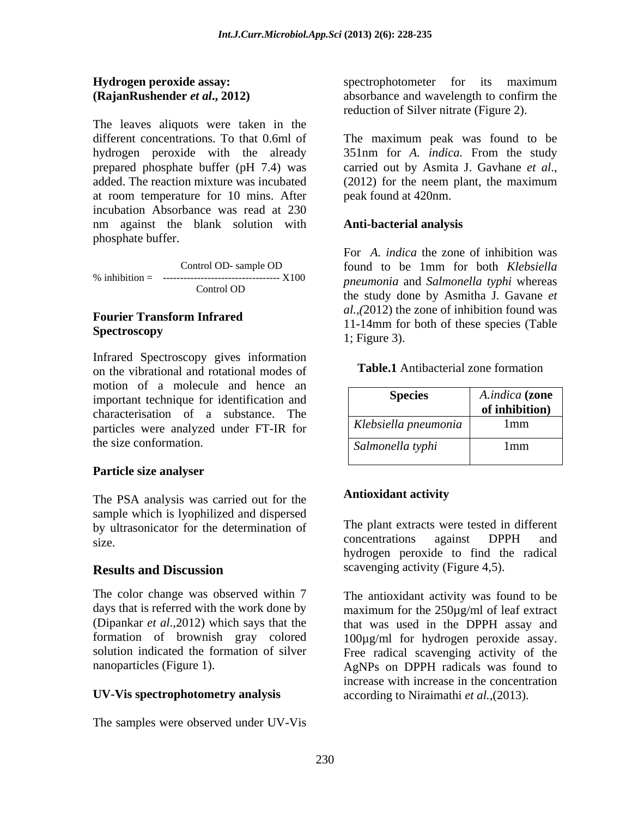The leaves aliquots were taken in the prepared phosphate buffer (pH 7.4) was carried out by Asmita J. Gavhane et al., added. The reaction mixture was incubated (2012) for the neem plant, the maximum at room temperature for 10 mins. After incubation Absorbance was read at 230 nm against the blank solution with phosphate buffer.

Infrared Spectroscopy gives information on the vibrational and rotational modes of motion of a molecule and hence an important technique for identification and characterisation of a substance. The particles were analyzed under FT-IR for the size conformation.

# **Particle size analyser**

The PSA analysis was carried out for the **Antioxidant activity** sample which is lyophilized and dispersed by ultrasonicator for the determination of The plant extracts were tested in different<br>concentrations against DPPH and

The color change was observed within 7 The antioxidant activity was found to be

### **UV-Vis spectrophotometry analysis** *according to Niraimathi et al.*, (2013).

The samples were observed under UV-Vis

**Hydrogen peroxide assay: example 3 assume that see Spectrophotometer** for its maximum **(RajanRushender** *et al.*, 2012) absorbance and wavelength to confirm the spectrophotometer for its maximum absorbance and wavelength to confirm the reduction of Silver nitrate (Figure 2).

different concentrations. To that 0.6ml of The maximum peak was found to be hydrogen peroxide with the already 351nm for *A. indica.* From the study carried out by Asmita J. Gavhane *et al*., (2012) for the neem plant, the maximum peak found at 420nm.

## **Anti-bacterial analysis**

Control OD- sample OD found to be 1mm for both *Klebsiella* % inhibition = ---------------------------------- X100 *pneumonia* and *Salmonella typhi* whereas  $\frac{1}{2}$  Control OD  $\frac{1}{2}$  the study done by Assisting  $\frac{1}{2}$  Control of **Fourier Transform Infrared** *all*,  $(2012)$  are zone of infinition found was<br>
11-14mm for both of these species (Table **Spectroscopy** and the species (Table For *A. indica* the zone of inhibition was found to be 1mm for both *Klebsiella*  the study done by Asmitha J. Gavane *et al.,(*2012) the zone of inhibition found was 1; Figure 3).

### **Table.1** Antibacterial zone formation

| Klebsiella pneumonia<br>1mm<br>Salmonella typhi<br>mm<br>THUIT | <b>Species</b> | $\lambda$ $\lambda$ $\lambda$ $\lambda$<br><i>A.indica</i> ( <b>zone</b><br><b>of inhibition</b> ) |  |  |  |  |  |
|----------------------------------------------------------------|----------------|----------------------------------------------------------------------------------------------------|--|--|--|--|--|
|                                                                |                |                                                                                                    |  |  |  |  |  |
|                                                                |                |                                                                                                    |  |  |  |  |  |
|                                                                |                |                                                                                                    |  |  |  |  |  |
|                                                                |                |                                                                                                    |  |  |  |  |  |

### **Antioxidant activity**

size. Concentrations against DPPH and **Results and Discussion** scavenging activity (Figure 4,5). The plant extracts were tested in different concentrations against DPPH and hydrogen peroxide to find the radical scavenging activity (Figure 4,5).

days that is referred with the work done by maximum for the 250µg/ml of leaf extract (Dipankar *et al*.,2012) which says that the that was used in the DPPH assay and formation of brownish gray colored 100µg/ml for hydrogen peroxide assay. solution indicated the formation of silver Free radical scavenging activity of the nanoparticles (Figure 1). AgNPs on DPPH radicals was found to increase with increase in the concentration **Example 8 Example 1 Example 1 Example 1 Conserved 1 Conserved 1 Conserved 1 Conserved 1 Conserved 1 Conserved 1 Conserved 1 Conserved 1 Conserved 1 Conserved 1 Conserved 1 Conserved 1 Conse**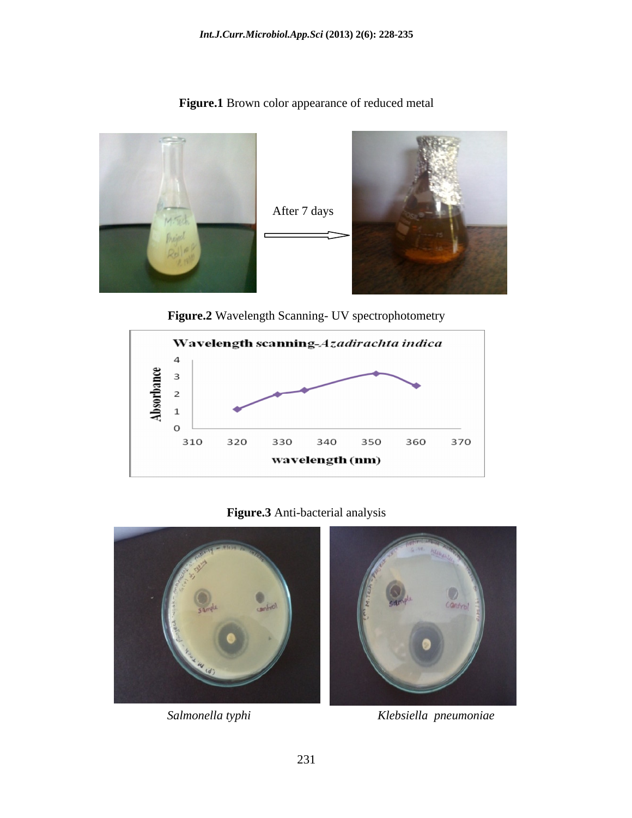**Figure.1** Brown color appearance of reduced metal





# **Figure.3** Anti-bacterial analysis



 *Salmonella typhi Klebsiella pneumoniae*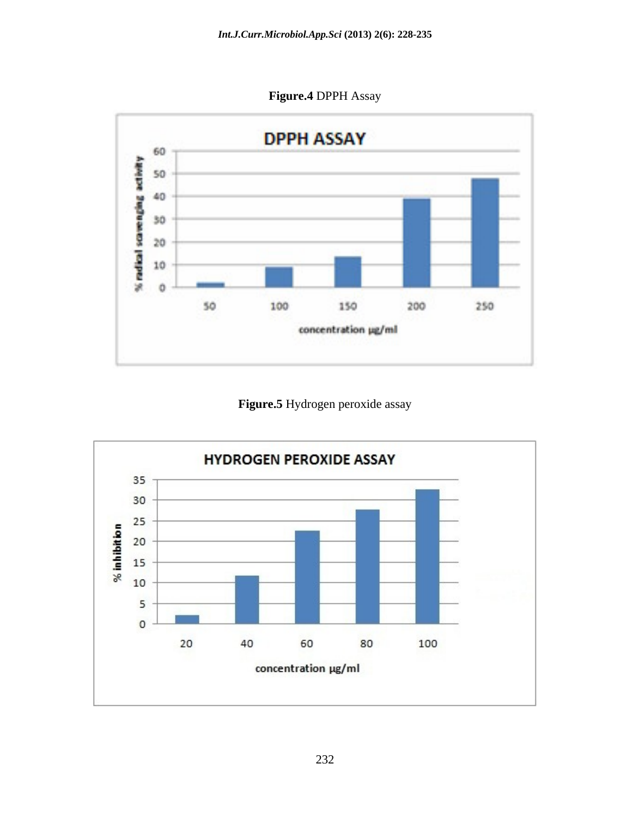**Figure.4** DPPH Assay



**Figure.5** Hydrogen peroxide assay

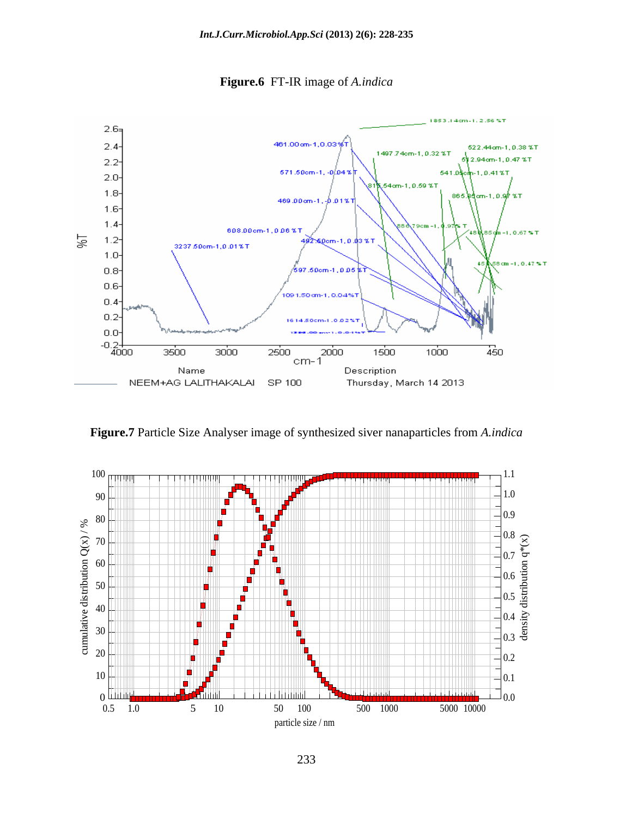

**Figure.6** FT-IR image of *A.indica*

**Figure.7** Particle Size Analyser image of synthesized siver nanaparticles from *A.indica*

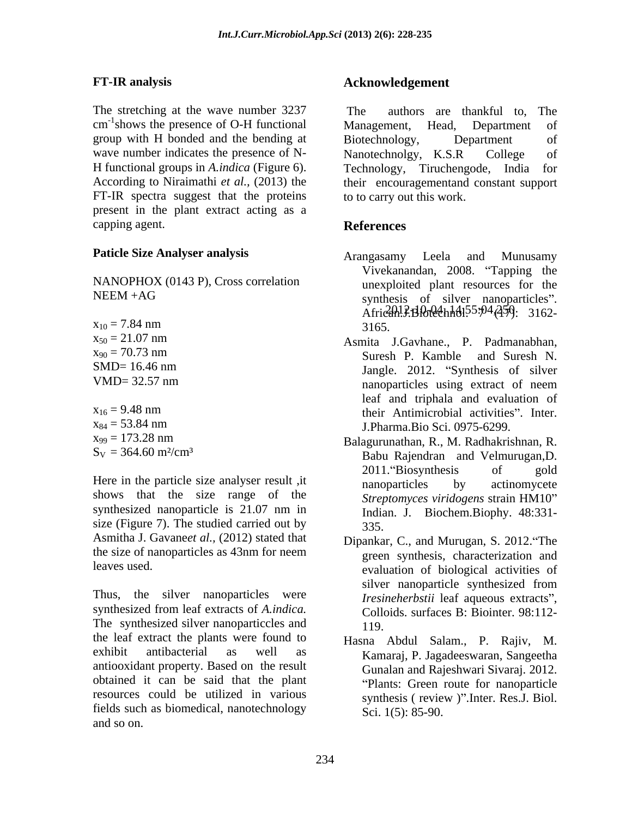The stretching at the wave number 3237 The group with H bonded and the bending at Biotechnology, Department of wave number indicates the presence of N- Nanotechnolgy, K.S.R College of FT-IR spectra suggest that the proteins present in the plant extract acting as a capping agent. **References** 

NANOPHOX (0143 P), Cross correlation

$$
x_{16} = 9.48 \text{ nm}
$$
  
\n
$$
x_{84} = 53.84 \text{ nm}
$$
  
\n
$$
x_{99} = 173.28 \text{ nm}
$$
  
\n
$$
S_V = 364.60 \text{ m}^2/\text{cm}^3
$$

Here in the particle size analyser result , it hanoparticles by actinomycete shows that the size range of the synthesized nanoparticle is 21.07 nm in size (Figure 7). The studied carried out by 335. Asmitha J. Gavane*et al.,* (2012) stated that

Thus, the silver nanoparticles were synthesized from leaf extracts of *A.indica.* The synthesized silver nanoparticcles and 119. the leaf extract the plants were found to exhibit antibacterial as well as Kamaraj, P. Jagadeeswaran, Sangeetha antiooxidant property. Based on the result obtained it can be said that the plant resources could be utilized in various fields such as biomedical, nanotechnology and so on.

# **FT-IR analysis Acknowledgement**

cm<sup>-1</sup>shows the presence of O-H functional Management, Head, Department of shows the presence of O-H functional Management, Head, Department of H functional groups in *A.indica* (Figure 6). Technology, Tiruchengode, India for According to Niraimathi *et al.,* (2013) the their encouragementand constant support authors are thankful to. The Management, Head, Department of Biotechnology, Department of Nanotechnolgy, K.S.R College of to to carry out this work.

# **References**

- **Paticle Size Analyser analysis** Arangasamy Leela and Munusamy NEEM +AG synthesis of silver nanoparticles". synthesis of silver nanoparticles".<br>Africanl.P.Blotechhol.55:04(459): 3162 $x_{10} = 7.84$  nm  $3165$ . Arangasamy Leela and Munusamy Vivekanandan, 2008. "Tapping the unexploited plant resources for the synthesis of silver nanoparticles".<br>Afri*ca*n.J.Biotechnol.<sup>55:p4</sup>(459): 3162-3165.
- $x_{50} = 21.07$  nm  $x_{50} = 21.07$  nm  $A \text{smita}$  J.Gavhane. P. Padmanabhan.  $x_{90} = 70.73$  nm Suresh P. Kamble and Suresh N. SMD= 16.46 nm VMD= 32.57 nm  $x_{16} = 9.48$  nm their Antimicrobial activities". Inter.  $x_{84} = 53.84$  nm J.Pharma.Bio Sci. 0975-6299. Asmita J.Gavhane., P. Padmanabhan, Suresh P. Kamble and Suresh N. Jangle. 2012. "Synthesis of silver nanoparticles using extract of neem leaf and triphala and evaluation of their Antimicrobial activities". Inter. J.Pharma.Bio Sci. 0975-6299.
- $x_{99} = 173.28$  nm Balagurunathan, R., M. Radhakrishnan, R.  $S_V = 364.60 \text{ m}^2/\text{cm}^3$  Babu Raiendran and Velmurugan.D. Balagurunathan, R., M. Radhakrishnan, R. Babu Rajendran and Velmurugan,D. 2011. Biosynthesis of gold nanoparticles by actinomycete *Streptomyces viridogens* strain HM10 Indian. J. Biochem.Biophy. 48:331- 335.
- the size of nanoparticles as  $43$ nm for neem  $\frac{1}{2}$  green synthesis. characterization and leaves used. evaluation of biological activities of Dipankar, C., and Murugan, S. 2012. The green synthesis, characterization and silver nanoparticle synthesized from *Iresineherbstii* leaf aqueous extracts", Colloids. surfaces B: Biointer. 98:112- 119.
	- Hasna Abdul Salam., P. Rajiv, M. Gunalan and Rajeshwari Sivaraj. 2012. Plants: Green route for nanoparticle synthesis (review )".Inter. Res.J. Biol. Sci. 1(5): 85-90.